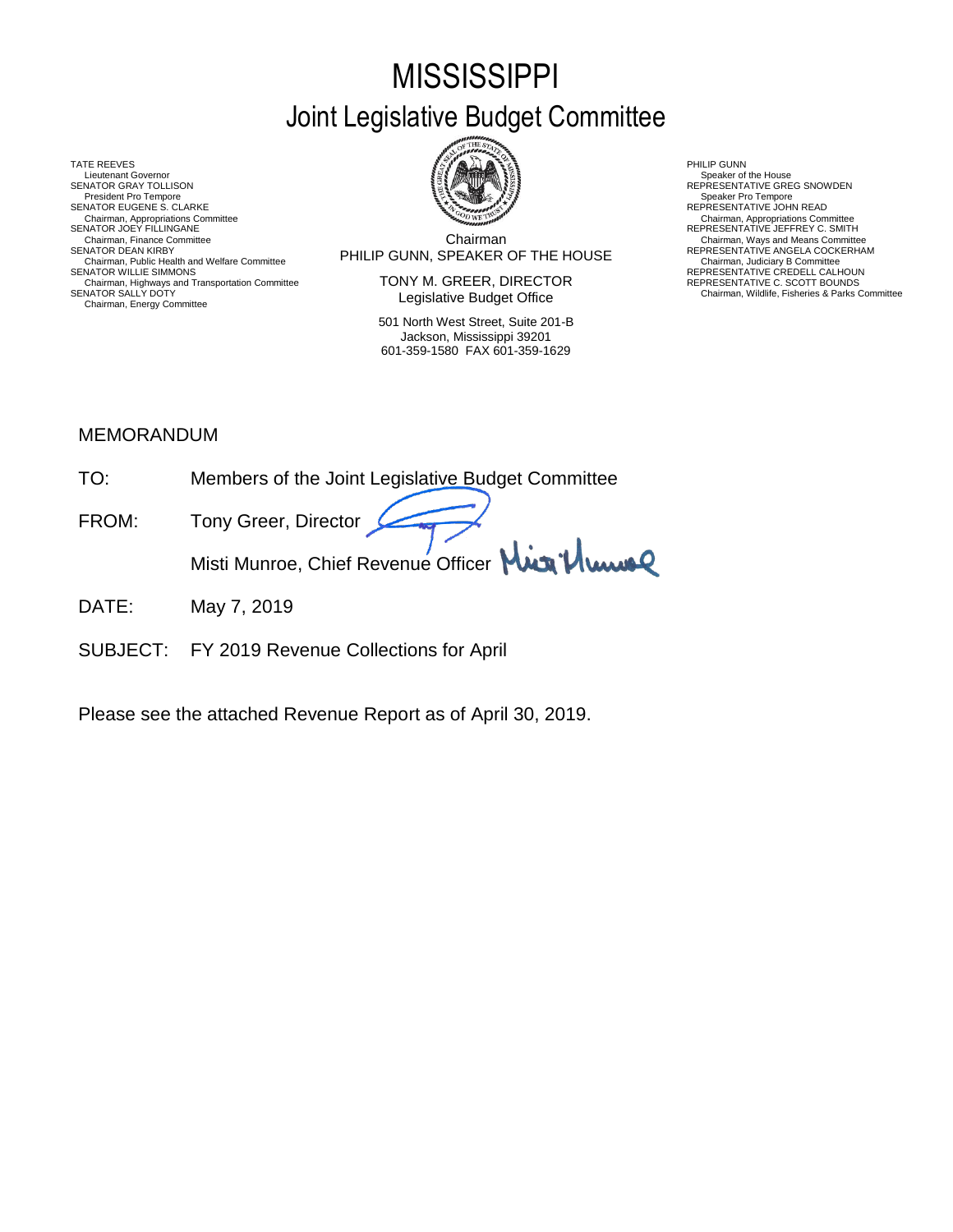# **MISSISSIPPI** Joint Legislative Budget Committee

TATE REEVES THE REDUCT THE REEVES AND RELATED AS A RELATED MALL OF LATER REEVES AND RELATED AT A RELATED MALL OF LATER SUMMARY AND RELATED AT A RELATED AND RELATED AT A RELATED MALL OF LATER SUMMARY AND RELATED AT A RELAT Lieutenant Governor<br>SENATOR GRAY TOLLISON President Pro Tempore SENATOR EUGENE S. CLARKE<br>Chairman, Appropriations Committee<br>SENATOR JOEY FILLINGANE Chairman, Appropriations Committee Chairman, Appropriations Committee<br>SENATOR JOEY FILLINGANE REPRESENTATIVE JEFFREY C. SMITH Chairman, Public Health and Welfare Committee **FERELL PUNN, SPEAKER UF THE HUUSE** Chairman, Judiciary B Committee<br>SENATOR WILLIE SIMMONS REPRESENTATIVE CREDELL CALHOUN Chairman, Highways and Transportation Committee<br>SENATOR SALLY DOTY Chairman, Energy Committee



Chairman SENATOR DEAN KIRBY (SENATOR DEAN KIRBY) FOR EAST ANGELA COCKERHAM<br>Chairman, Public Health and Welfare Committee Committee Committee Committee Committee Committee Committee Cha Chairman, Finance Committee **Chairman**<br>SENATOR DEAN KIRBY COMMITTEE CHAIRM SENATOR DEAN KIRBY COCKERHAM

> TONY M. GREER, DIRECTOR Legislative Budget Office

501 North West Street, Suite 201-B Jackson, Mississippi 39201 601-359-1580 FAX 601-359-1629

SENATOR SENATOR SPEAKER Of the House<br>
SPEAKER STATIVE GREG SNOWDEN<br>
Speaker Pro Tempore

REPRESENTATIVE C. SCOTT BOUNDS<br>Chairman, Wildlife, Fisheries & Parks Committee

#### MEMORANDUM

| TO <sup>.</sup> | Members of the Joint Legislative Budget Committee |
|-----------------|---------------------------------------------------|
| FROM:           | Tony Greer, Director                              |
|                 | Misti Munroe, Chief Revenue Officer Min Mune      |

- DATE: May 7, 2019
- SUBJECT: FY 2019 Revenue Collections for April

Please see the attached Revenue Report as of April 30, 2019.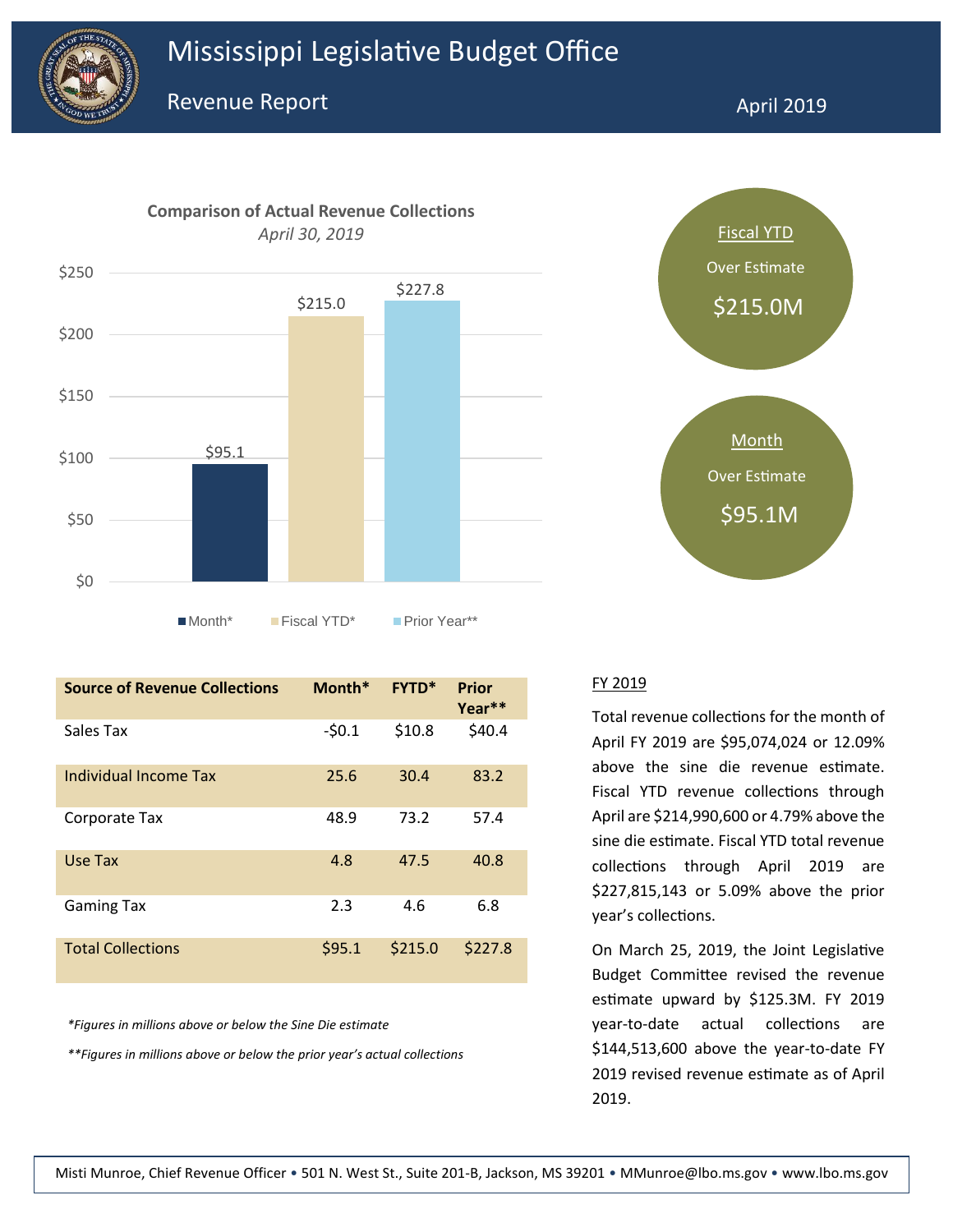



| <b>Source of Revenue Collections</b> | Month*  | <b>FYTD*</b> | <b>Prior</b><br>Year** |
|--------------------------------------|---------|--------------|------------------------|
| Sales Tax                            | $-50.1$ | \$10.8       | \$40.4                 |
| Individual Income Tax                | 25.6    | 30.4         | 83.2                   |
| Corporate Tax                        | 48.9    | 73.2         | 57.4                   |
| Use Tax                              | 4.8     | 47.5         | 40.8                   |
| <b>Gaming Tax</b>                    | 2.3     | 4.6          | 6.8                    |
| <b>Total Collections</b>             | \$95.1  | \$215.0      | \$227.8                |

*\*Figures in millions above or below the Sine Die estimate*

*\*\*Figures in millions above or below the prior year's actual collections*



#### FY 2019

Total revenue collections for the month of April FY 2019 are \$95,074,024 or 12.09% above the sine die revenue estimate. Fiscal YTD revenue collections through April are \$214,990,600 or 4.79% above the sine die estimate. Fiscal YTD total revenue collections through April 2019 are \$227,815,143 or 5.09% above the prior year's collections.

On March 25, 2019, the Joint Legislative Budget Committee revised the revenue estimate upward by \$125.3M. FY 2019 year-to-date actual collections are \$144,513,600 above the year-to-date FY 2019 revised revenue estimate as of April 2019.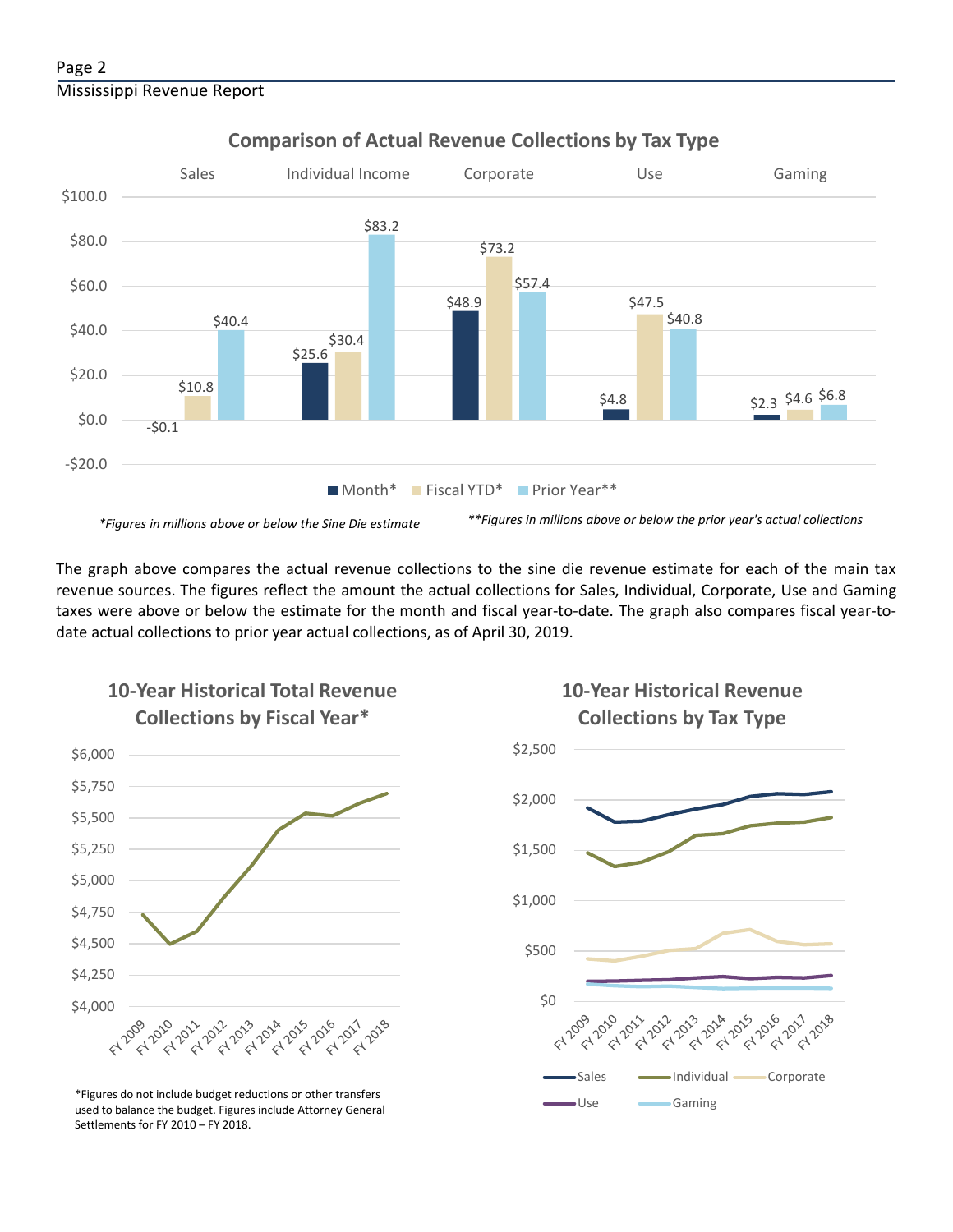

### **Comparison of Actual Revenue Collections by Tax Type**

The graph above compares the actual revenue collections to the sine die revenue estimate for each of the main tax revenue sources. The figures reflect the amount the actual collections for Sales, Individual, Corporate, Use and Gaming taxes were above or below the estimate for the month and fiscal year-to-date. The graph also compares fiscal year-todate actual collections to prior year actual collections, as of April 30, 2019.



**10-Year Historical Total Revenue** 

Use Gaming \*Figures do not include budget reductions or other transfers used to balance the budget. Figures include Attorney General Settlements for FY 2010 – FY 2018.



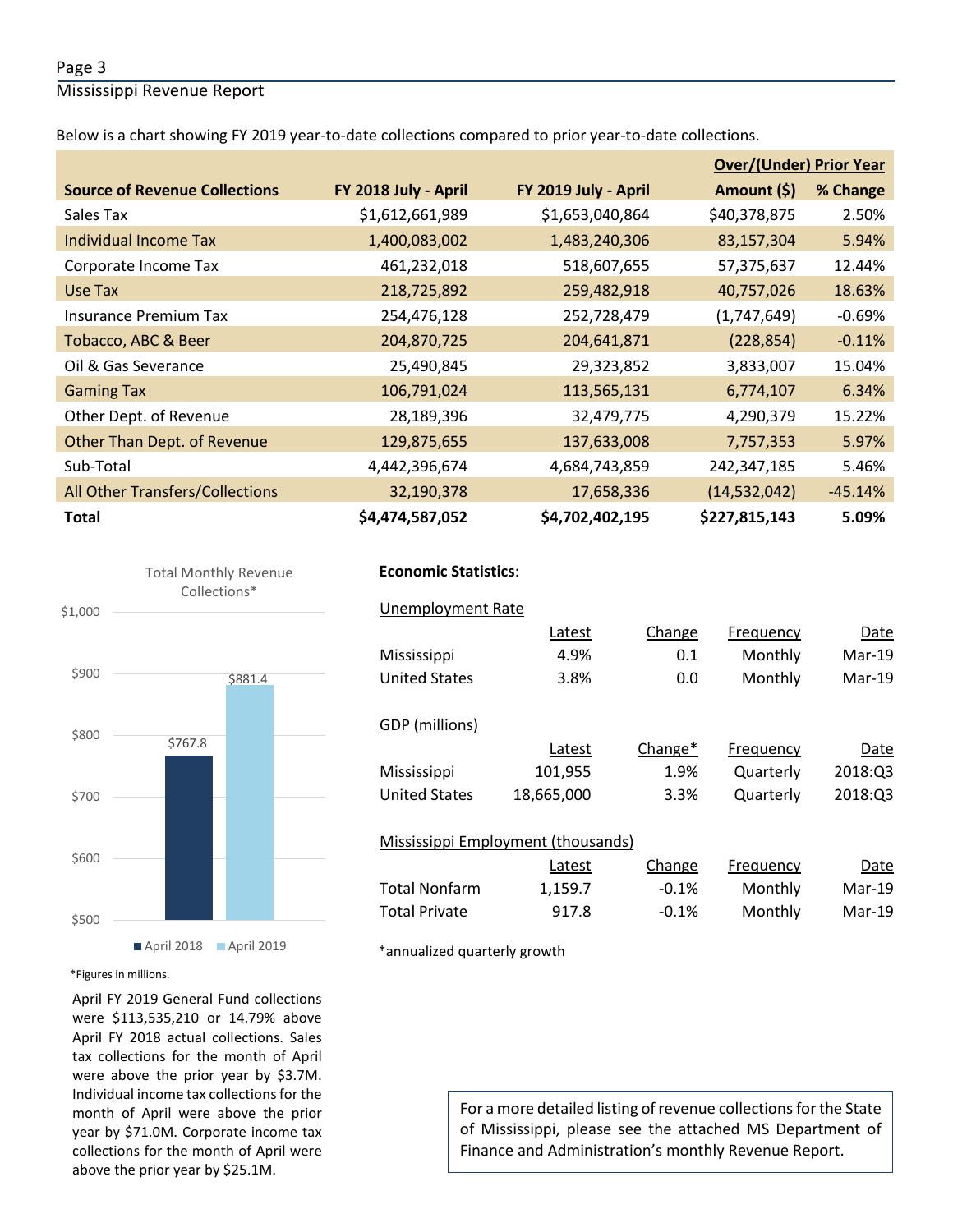#### Page 3

Mississippi Revenue Report

Below is a chart showing FY 2019 year-to-date collections compared to prior year-to-date collections.

|                                      |                      |                      | <b>Over/(Under) Prior Year</b> |           |
|--------------------------------------|----------------------|----------------------|--------------------------------|-----------|
| <b>Source of Revenue Collections</b> | FY 2018 July - April | FY 2019 July - April | Amount (\$)                    | % Change  |
| Sales Tax                            | \$1,612,661,989      | \$1,653,040,864      | \$40,378,875                   | 2.50%     |
| <b>Individual Income Tax</b>         | 1,400,083,002        | 1,483,240,306        | 83,157,304                     | 5.94%     |
| Corporate Income Tax                 | 461,232,018          | 518,607,655          | 57,375,637                     | 12.44%    |
| Use Tax                              | 218,725,892          | 259,482,918          | 40,757,026                     | 18.63%    |
| <b>Insurance Premium Tax</b>         | 254,476,128          | 252,728,479          | (1,747,649)                    | $-0.69%$  |
| Tobacco, ABC & Beer                  | 204,870,725          | 204,641,871          | (228, 854)                     | $-0.11%$  |
| Oil & Gas Severance                  | 25,490,845           | 29,323,852           | 3,833,007                      | 15.04%    |
| <b>Gaming Tax</b>                    | 106,791,024          | 113,565,131          | 6,774,107                      | 6.34%     |
| Other Dept. of Revenue               | 28,189,396           | 32,479,775           | 4,290,379                      | 15.22%    |
| Other Than Dept. of Revenue          | 129,875,655          | 137,633,008          | 7,757,353                      | 5.97%     |
| Sub-Total                            | 4,442,396,674        | 4,684,743,859        | 242,347,185                    | 5.46%     |
| All Other Transfers/Collections      | 32,190,378           | 17,658,336           | (14, 532, 042)                 | $-45.14%$ |
| <b>Total</b>                         | \$4,474,587,052      | \$4,702,402,195      | \$227,815,143                  | 5.09%     |





#### **Economic Statistics**:  **Economic Statistics**:

| Unemployment Rate                  |            |         |           |          |
|------------------------------------|------------|---------|-----------|----------|
|                                    | Latest     | Change  | Frequency | Date     |
| Mississippi                        | 4.9%       | 0.1     | Monthly   | $Mar-19$ |
| <b>United States</b>               | 3.8%       | 0.0     | Monthly   | $Mar-19$ |
|                                    |            |         |           |          |
| GDP (millions)                     |            |         |           |          |
|                                    | Latest     | Change* | Frequency | Date     |
| Mississippi                        | 101,955    | 1.9%    | Quarterly | 2018:Q3  |
| <b>United States</b>               | 18,665,000 | 3.3%    | Quarterly | 2018:Q3  |
|                                    |            |         |           |          |
| Mississippi Employment (thousands) |            |         |           |          |
|                                    | Latest     | Change  | Frequency | Date     |
| Total Nonfarm                      | 1,159.7    | $-0.1%$ | Monthly   | Mar-19   |
| <b>Total Private</b>               | 917.8      | $-0.1%$ | Monthly   | Mar-19   |
|                                    |            |         |           |          |

\*annualized quarterly growth

#### \*Figures in millions.

April FY 2019 General Fund collections were \$113,535,210 or 14.79% above April FY 2018 actual collections. Sales tax collections for the month of April were above the prior year by \$3.7M. Individual income tax collections for the month of April were above the prior year by \$71.0M. Corporate income tax collections for the month of April were above the prior year by \$25.1M.

For a more detailed listing of revenue collections for the State of Mississippi, please see the attached MS Department of Finance and Administration's monthly Revenue Report.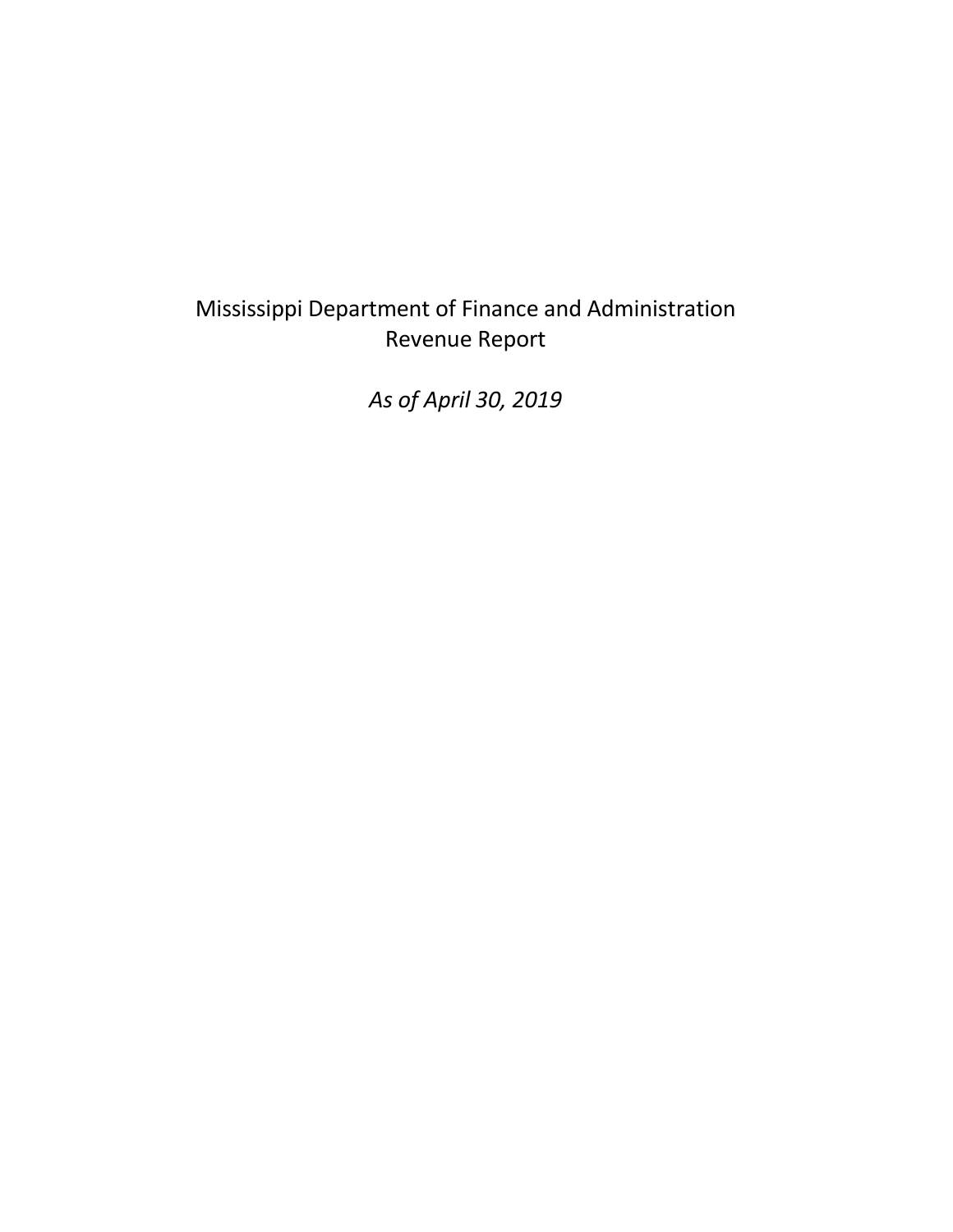## Mississippi Department of Finance and Administration Revenue Report

*As of April 30, 2019*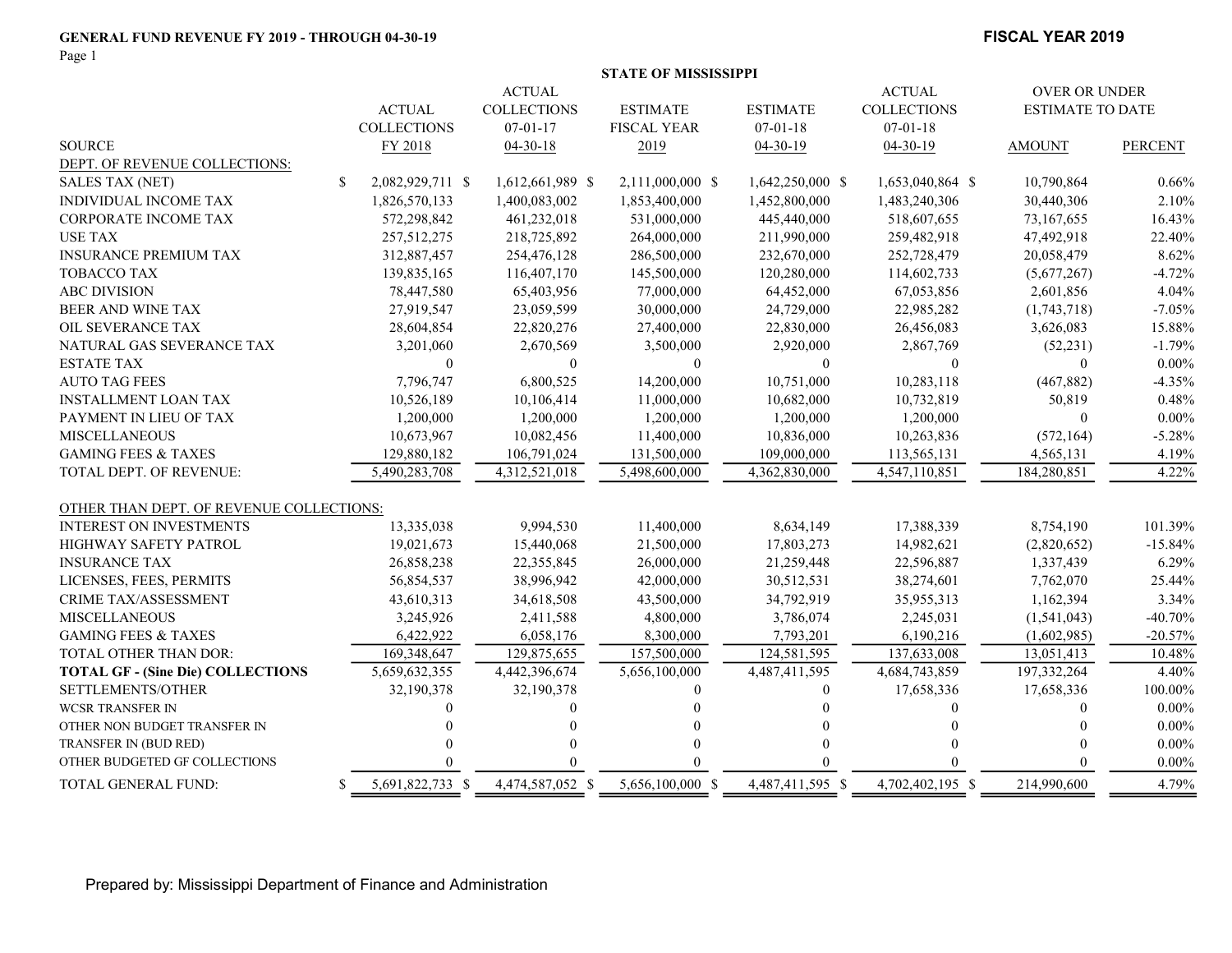#### GENERAL FUND REVENUE FY 2019 - THROUGH 04-30-19 FISCAL YEAR 2019

Page 1

|                                          |               |                    |                    | <b>STATE OF MISSISSIPPI</b> |                  |                    |                         |                |
|------------------------------------------|---------------|--------------------|--------------------|-----------------------------|------------------|--------------------|-------------------------|----------------|
|                                          |               |                    | <b>ACTUAL</b>      |                             |                  | <b>ACTUAL</b>      | OVER OR UNDER           |                |
|                                          |               | <b>ACTUAL</b>      | <b>COLLECTIONS</b> | <b>ESTIMATE</b>             | <b>ESTIMATE</b>  | <b>COLLECTIONS</b> | <b>ESTIMATE TO DATE</b> |                |
|                                          |               | <b>COLLECTIONS</b> | $07 - 01 - 17$     | <b>FISCAL YEAR</b>          | $07-01-18$       | $07-01-18$         |                         |                |
| <b>SOURCE</b>                            |               | FY 2018            | $04 - 30 - 18$     | 2019                        | $04 - 30 - 19$   | $04 - 30 - 19$     | <b>AMOUNT</b>           | <b>PERCENT</b> |
| DEPT. OF REVENUE COLLECTIONS:            |               |                    |                    |                             |                  |                    |                         |                |
| <b>SALES TAX (NET)</b>                   | <sup>\$</sup> | 2,082,929,711 \$   | 1,612,661,989 \$   | 2,111,000,000 \$            | 1,642,250,000 \$ | 1,653,040,864 \$   | 10,790,864              | 0.66%          |
| <b>INDIVIDUAL INCOME TAX</b>             |               | 1,826,570,133      | 1,400,083,002      | 1,853,400,000               | 1,452,800,000    | 1,483,240,306      | 30,440,306              | 2.10%          |
| CORPORATE INCOME TAX                     |               | 572,298,842        | 461,232,018        | 531,000,000                 | 445,440,000      | 518,607,655        | 73,167,655              | 16.43%         |
| <b>USE TAX</b>                           |               | 257,512,275        | 218,725,892        | 264,000,000                 | 211,990,000      | 259,482,918        | 47,492,918              | 22.40%         |
| <b>INSURANCE PREMIUM TAX</b>             |               | 312,887,457        | 254,476,128        | 286,500,000                 | 232,670,000      | 252,728,479        | 20,058,479              | 8.62%          |
| <b>TOBACCO TAX</b>                       |               | 139,835,165        | 116,407,170        | 145,500,000                 | 120,280,000      | 114,602,733        | (5,677,267)             | $-4.72%$       |
| <b>ABC DIVISION</b>                      |               | 78,447,580         | 65,403,956         | 77,000,000                  | 64,452,000       | 67,053,856         | 2,601,856               | 4.04%          |
| BEER AND WINE TAX                        |               | 27,919,547         | 23,059,599         | 30,000,000                  | 24,729,000       | 22,985,282         | (1,743,718)             | $-7.05%$       |
| OIL SEVERANCE TAX                        |               | 28,604,854         | 22,820,276         | 27,400,000                  | 22,830,000       | 26,456,083         | 3,626,083               | 15.88%         |
| NATURAL GAS SEVERANCE TAX                |               | 3,201,060          | 2,670,569          | 3,500,000                   | 2,920,000        | 2,867,769          | (52, 231)               | $-1.79%$       |
| <b>ESTATE TAX</b>                        |               | $\theta$           | $\theta$           | $\Omega$                    | $\mathbf{0}$     | $\theta$           | $\overline{0}$          | $0.00\%$       |
| <b>AUTO TAG FEES</b>                     |               | 7,796,747          | 6,800,525          | 14,200,000                  | 10,751,000       | 10,283,118         | (467, 882)              | $-4.35%$       |
| <b>INSTALLMENT LOAN TAX</b>              |               | 10,526,189         | 10,106,414         | 11,000,000                  | 10,682,000       | 10,732,819         | 50,819                  | 0.48%          |
| PAYMENT IN LIEU OF TAX                   |               | 1,200,000          | 1,200,000          | 1,200,000                   | 1,200,000        | 1,200,000          | $\bf{0}$                | $0.00\%$       |
| <b>MISCELLANEOUS</b>                     |               | 10,673,967         | 10,082,456         | 11,400,000                  | 10,836,000       | 10,263,836         | (572, 164)              | $-5.28%$       |
| <b>GAMING FEES &amp; TAXES</b>           |               | 129,880,182        | 106,791,024        | 131,500,000                 | 109,000,000      | 113,565,131        | 4,565,131               | 4.19%          |
| <b>TOTAL DEPT. OF REVENUE:</b>           |               | 5,490,283,708      | 4,312,521,018      | 5,498,600,000               | 4,362,830,000    | 4,547,110,851      | 184,280,851             | 4.22%          |
| OTHER THAN DEPT. OF REVENUE COLLECTIONS: |               |                    |                    |                             |                  |                    |                         |                |
| <b>INTEREST ON INVESTMENTS</b>           |               | 13,335,038         | 9,994,530          | 11,400,000                  | 8,634,149        | 17,388,339         | 8,754,190               | 101.39%        |
| <b>HIGHWAY SAFETY PATROL</b>             |               | 19,021,673         | 15,440,068         | 21,500,000                  | 17,803,273       | 14,982,621         | (2,820,652)             | $-15.84%$      |
| <b>INSURANCE TAX</b>                     |               | 26,858,238         | 22,355,845         | 26,000,000                  | 21,259,448       | 22,596,887         | 1,337,439               | 6.29%          |
| LICENSES, FEES, PERMITS                  |               | 56,854,537         | 38,996,942         | 42,000,000                  | 30,512,531       | 38,274,601         | 7,762,070               | 25.44%         |
| CRIME TAX/ASSESSMENT                     |               | 43,610,313         | 34,618,508         | 43,500,000                  | 34,792,919       | 35,955,313         | 1,162,394               | 3.34%          |
| <b>MISCELLANEOUS</b>                     |               | 3,245,926          | 2,411,588          | 4,800,000                   | 3,786,074        | 2,245,031          | (1,541,043)             | $-40.70%$      |
| <b>GAMING FEES &amp; TAXES</b>           |               | 6,422,922          | 6,058,176          | 8,300,000                   | 7,793,201        | 6,190,216          | (1,602,985)             | $-20.57%$      |
| TOTAL OTHER THAN DOR:                    |               | 169,348,647        | 129,875,655        | 157,500,000                 | 124,581,595      | 137,633,008        | 13,051,413              | 10.48%         |
| <b>TOTAL GF - (Sine Die) COLLECTIONS</b> |               | 5,659,632,355      | 4,442,396,674      | 5,656,100,000               | 4,487,411,595    | 4,684,743,859      | 197,332,264             | 4.40%          |
| SETTLEMENTS/OTHER                        |               | 32,190,378         | 32,190,378         | 0                           | $\overline{0}$   | 17,658,336         | 17,658,336              | 100.00%        |
| <b>WCSR TRANSFER IN</b>                  |               | 0                  | 0                  |                             |                  | 0                  | $\overline{0}$          | $0.00\%$       |
| OTHER NON BUDGET TRANSFER IN             |               |                    |                    |                             |                  |                    | $\Omega$                | $0.00\%$       |
| TRANSFER IN (BUD RED)                    |               |                    |                    | $\theta$                    |                  |                    | $\Omega$                | $0.00\%$       |
| OTHER BUDGETED GF COLLECTIONS            |               |                    |                    |                             |                  |                    | $\Omega$                | $0.00\%$       |
| TOTAL GENERAL FUND:                      | \$            | 5,691,822,733 \$   | 4,474,587,052 \$   | 5,656,100,000 \$            | 4,487,411,595 \$ | 4,702,402,195 \$   | 214,990,600             | 4.79%          |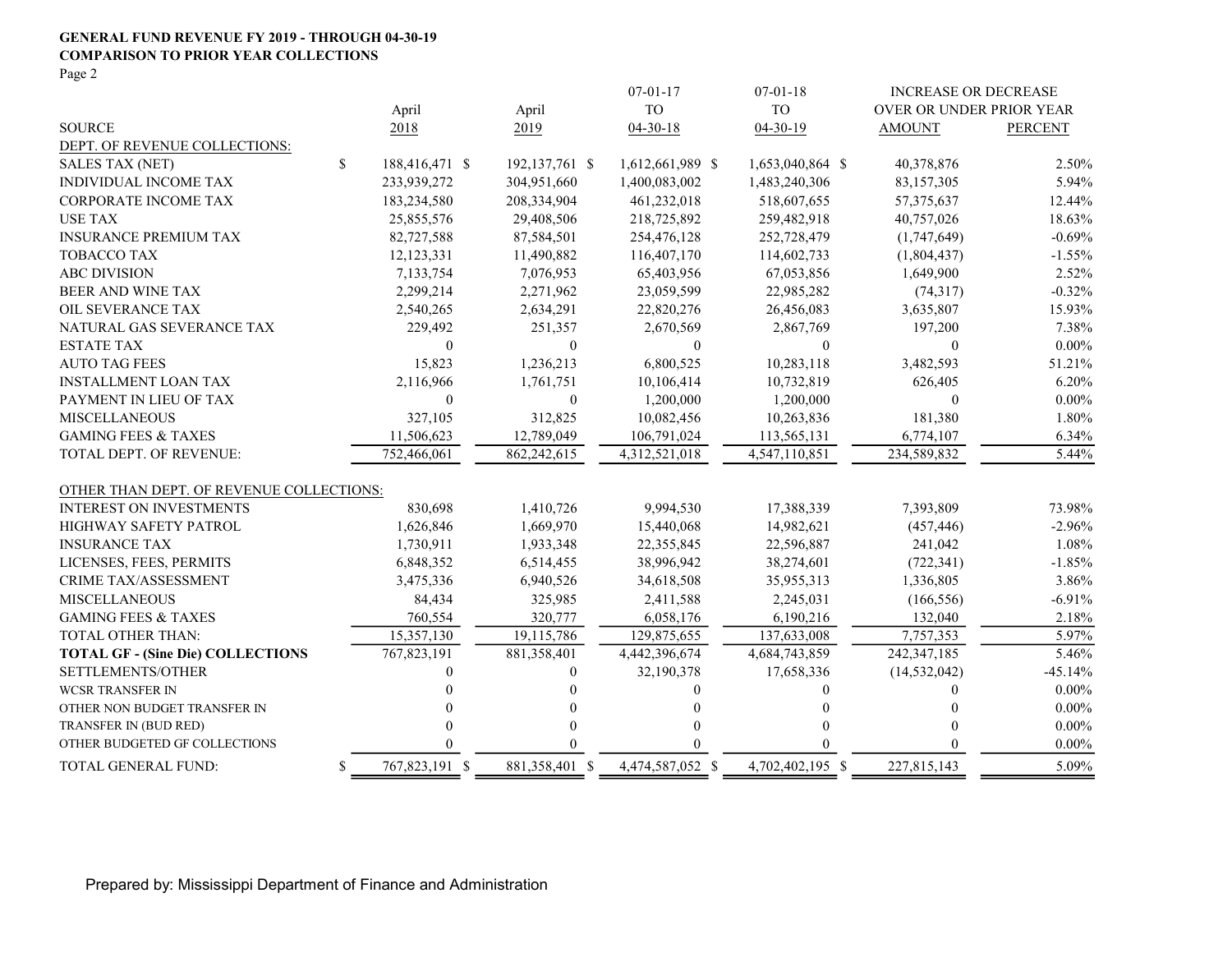#### GENERAL FUND REVENUE FY 2019 - THROUGH 04-30-19 COMPARISON TO PRIOR YEAR COLLECTIONS

Page 2

|                                          |                      |                  | $07 - 01 - 17$   | $07 - 01 - 18$   | <b>INCREASE OR DECREASE</b> |                |
|------------------------------------------|----------------------|------------------|------------------|------------------|-----------------------------|----------------|
|                                          | April                | April            | TO               | <b>TO</b>        | OVER OR UNDER PRIOR YEAR    |                |
| <b>SOURCE</b>                            | 2018                 | 2019             | $04 - 30 - 18$   | 04-30-19         | <b>AMOUNT</b>               | <b>PERCENT</b> |
| DEPT. OF REVENUE COLLECTIONS:            |                      |                  |                  |                  |                             |                |
| <b>SALES TAX (NET)</b>                   | \$<br>188,416,471 \$ | 192, 137, 761 \$ | 1,612,661,989 \$ | 1,653,040,864 \$ | 40,378,876                  | 2.50%          |
| INDIVIDUAL INCOME TAX                    | 233,939,272          | 304,951,660      | 1,400,083,002    | 1,483,240,306    | 83,157,305                  | 5.94%          |
| <b>CORPORATE INCOME TAX</b>              | 183,234,580          | 208,334,904      | 461,232,018      | 518,607,655      | 57, 375, 637                | 12.44%         |
| <b>USE TAX</b>                           | 25,855,576           | 29,408,506       | 218,725,892      | 259,482,918      | 40,757,026                  | 18.63%         |
| <b>INSURANCE PREMIUM TAX</b>             | 82,727,588           | 87,584,501       | 254,476,128      | 252,728,479      | (1,747,649)                 | $-0.69%$       |
| <b>TOBACCO TAX</b>                       | 12,123,331           | 11,490,882       | 116,407,170      | 114,602,733      | (1,804,437)                 | $-1.55%$       |
| <b>ABC DIVISION</b>                      | 7,133,754            | 7,076,953        | 65,403,956       | 67,053,856       | 1,649,900                   | 2.52%          |
| BEER AND WINE TAX                        | 2,299,214            | 2,271,962        | 23,059,599       | 22,985,282       | (74,317)                    | $-0.32%$       |
| OIL SEVERANCE TAX                        | 2,540,265            | 2,634,291        | 22,820,276       | 26,456,083       | 3,635,807                   | 15.93%         |
| NATURAL GAS SEVERANCE TAX                | 229,492              | 251,357          | 2,670,569        | 2,867,769        | 197,200                     | 7.38%          |
| <b>ESTATE TAX</b>                        | $\theta$             | $\theta$         | $\theta$         | $\mathbf{0}$     | $\theta$                    | $0.00\%$       |
| <b>AUTO TAG FEES</b>                     | 15,823               | 1,236,213        | 6,800,525        | 10,283,118       | 3,482,593                   | 51.21%         |
| <b>INSTALLMENT LOAN TAX</b>              | 2,116,966            | 1,761,751        | 10,106,414       | 10,732,819       | 626,405                     | 6.20%          |
| PAYMENT IN LIEU OF TAX                   | $\mathbf{0}$         | $\boldsymbol{0}$ | 1,200,000        | 1,200,000        | $\mathbf{0}$                | $0.00\%$       |
| <b>MISCELLANEOUS</b>                     | 327,105              | 312,825          | 10,082,456       | 10,263,836       | 181,380                     | 1.80%          |
| <b>GAMING FEES &amp; TAXES</b>           | 11,506,623           | 12,789,049       | 106,791,024      | 113,565,131      | 6,774,107                   | 6.34%          |
| TOTAL DEPT. OF REVENUE:                  | 752,466,061          | 862,242,615      | 4,312,521,018    | 4.547.110.851    | 234,589,832                 | 5.44%          |
| OTHER THAN DEPT. OF REVENUE COLLECTIONS: |                      |                  |                  |                  |                             |                |
| <b>INTEREST ON INVESTMENTS</b>           | 830,698              | 1,410,726        | 9,994,530        | 17,388,339       | 7,393,809                   | 73.98%         |
| HIGHWAY SAFETY PATROL                    | 1,626,846            | 1,669,970        | 15,440,068       | 14,982,621       | (457, 446)                  | $-2.96%$       |
| <b>INSURANCE TAX</b>                     | 1,730,911            | 1,933,348        | 22,355,845       | 22,596,887       | 241,042                     | 1.08%          |
| LICENSES, FEES, PERMITS                  | 6,848,352            | 6,514,455        | 38,996,942       | 38,274,601       | (722, 341)                  | $-1.85%$       |
| <b>CRIME TAX/ASSESSMENT</b>              | 3,475,336            | 6,940,526        | 34,618,508       | 35,955,313       | 1,336,805                   | 3.86%          |
| <b>MISCELLANEOUS</b>                     | 84,434               | 325,985          | 2,411,588        | 2,245,031        | (166, 556)                  | $-6.91%$       |
| <b>GAMING FEES &amp; TAXES</b>           | 760,554              | 320,777          | 6,058,176        | 6,190,216        | 132,040                     | 2.18%          |
| <b>TOTAL OTHER THAN:</b>                 | 15,357,130           | 19,115,786       | 129,875,655      | 137,633,008      | 7,757,353                   | 5.97%          |
| <b>TOTAL GF - (Sine Die) COLLECTIONS</b> | 767,823,191          | 881,358,401      | 4,442,396,674    | 4,684,743,859    | 242,347,185                 | 5.46%          |
| SETTLEMENTS/OTHER                        | 0                    | $\Omega$         | 32,190,378       | 17,658,336       | (14, 532, 042)              | $-45.14%$      |
| <b>WCSR TRANSFER IN</b>                  |                      | $\Omega$         | 0                | 0                | 0                           | $0.00\%$       |
| OTHER NON BUDGET TRANSFER IN             |                      | 0                | 0                | $\Omega$         | $\Omega$                    | $0.00\%$       |
| TRANSFER IN (BUD RED)                    |                      | $\Omega$         | 0                | 0                | 0                           | $0.00\%$       |
| OTHER BUDGETED GF COLLECTIONS            |                      | 0                |                  | 0                | 0                           | $0.00\%$       |
| TOTAL GENERAL FUND:                      | \$<br>767,823,191 \$ | 881,358,401 \$   | 4,474,587,052 \$ | 4,702,402,195 \$ | 227,815,143                 | 5.09%          |